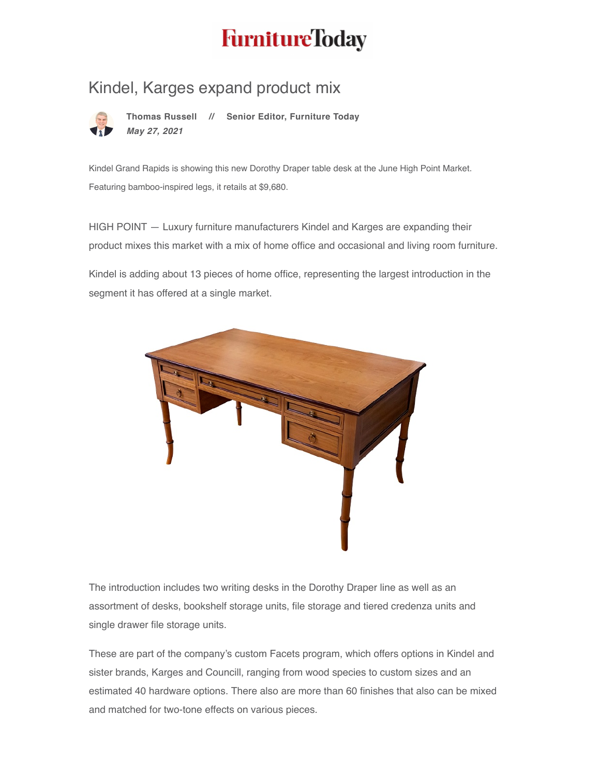## **FurnitureToday**

## [Kindel,](https://www.furnituretoday.com/profile/russellt/) Karges expand product mix



**Thomas Russell // Senior Editor, Furniture Today** *May 27, 2021*

Kindel Grand Rapids is showing this new Dorothy Draper table desk at the June High Point Market. Featuring bamboo-inspired legs, it retails at \$9,680.

HIGH POINT — Luxury furniture manufacturers Kindel and Karges are expanding their product mixes this market with a mix of home office and occasional and living room furniture.

Kindel is adding about 13 pieces of home office, representing the largest introduction in the segment it has offered at a single market.



The introduction includes two writing desks in the Dorothy Draper line as well as an assortment of desks, bookshelf storage units, file storage and tiered credenza units and single drawer file storage units.

These are part of the company's custom Facets program, which offers options in Kindel and sister brands, Karges and Councill, ranging from wood species to custom sizes and an estimated 40 hardware options. There also are more than 60 finishes that also can be mixed and matched for two-tone effects on various pieces.